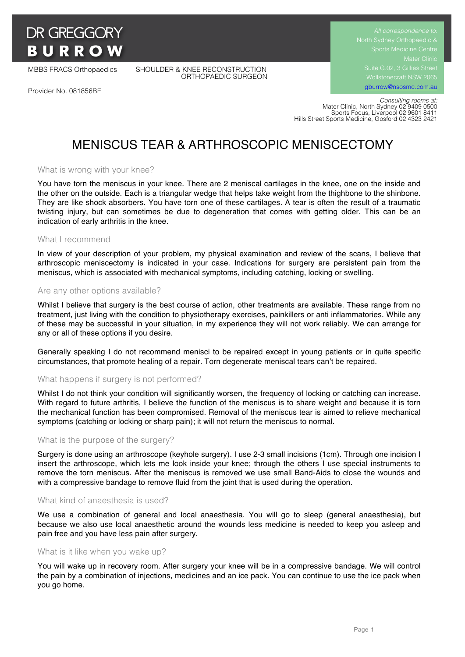# **DR GREGGORY BURROW**

MBBS FRACS Orthopaedics SHOULDER & KNEE RECONSTRUCTION ORTHOPAEDIC SURGEON

Provider No. 081856BF

Suite G.02, 3 Gillies Street Wollstonecraft NSW 2065

gburrow@nsosmc.com.au

 *Consulting rooms at:* Mater Clinic, North Sydney 02 9409 0500 Sports Focus, Liverpool 02 9601 8411 Hills Street Sports Medicine, Gosford 02 4323 2421

# MENISCUS TEAR & ARTHROSCOPIC MENISCECTOMY

# What is wrong with your knee?

You have torn the meniscus in your knee. There are 2 meniscal cartilages in the knee, one on the inside and the other on the outside. Each is a triangular wedge that helps take weight from the thighbone to the shinbone. They are like shock absorbers. You have torn one of these cartilages. A tear is often the result of a traumatic twisting injury, but can sometimes be due to degeneration that comes with getting older. This can be an indication of early arthritis in the knee.

# What I recommend

In view of your description of your problem, my physical examination and review of the scans, I believe that arthroscopic meniscectomy is indicated in your case. Indications for surgery are persistent pain from the meniscus, which is associated with mechanical symptoms, including catching, locking or swelling.

#### Are any other options available?

Whilst I believe that surgery is the best course of action, other treatments are available. These range from no treatment, just living with the condition to physiotherapy exercises, painkillers or anti inflammatories. While any of these may be successful in your situation, in my experience they will not work reliably. We can arrange for any or all of these options if you desire.

Generally speaking I do not recommend menisci to be repaired except in young patients or in quite specific circumstances, that promote healing of a repair. Torn degenerate meniscal tears can't be repaired.

# What happens if surgery is not performed?

Whilst I do not think your condition will significantly worsen, the frequency of locking or catching can increase. With regard to future arthritis, I believe the function of the meniscus is to share weight and because it is torn the mechanical function has been compromised. Removal of the meniscus tear is aimed to relieve mechanical symptoms (catching or locking or sharp pain); it will not return the meniscus to normal.

# What is the purpose of the surgery?

Surgery is done using an arthroscope (keyhole surgery). I use 2-3 small incisions (1cm). Through one incision I insert the arthroscope, which lets me look inside your knee; through the others I use special instruments to remove the torn meniscus. After the meniscus is removed we use small Band-Aids to close the wounds and with a compressive bandage to remove fluid from the joint that is used during the operation.

#### What kind of anaesthesia is used?

We use a combination of general and local anaesthesia. You will go to sleep (general anaesthesia), but because we also use local anaesthetic around the wounds less medicine is needed to keep you asleep and pain free and you have less pain after surgery.

#### What is it like when you wake up?

You will wake up in recovery room. After surgery your knee will be in a compressive bandage. We will control the pain by a combination of injections, medicines and an ice pack. You can continue to use the ice pack when you go home.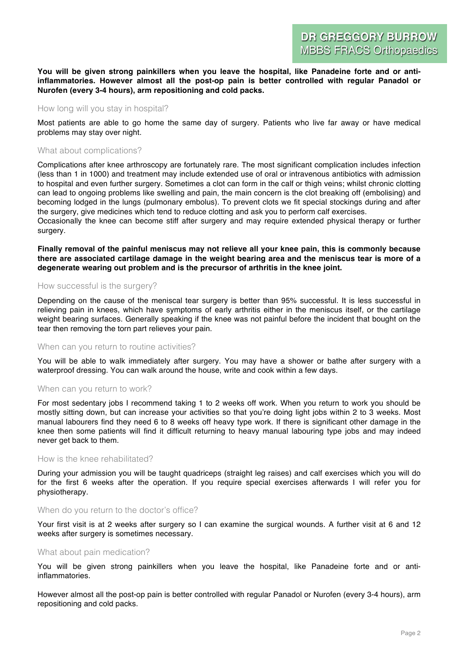#### **You will be given strong painkillers when you leave the hospital, like Panadeine forte and or antiinflammatories. However almost all the post-op pain is better controlled with regular Panadol or Nurofen (every 3-4 hours), arm repositioning and cold packs.**

#### How long will you stay in hospital?

Most patients are able to go home the same day of surgery. Patients who live far away or have medical problems may stay over night.

#### What about complications?

Complications after knee arthroscopy are fortunately rare. The most significant complication includes infection (less than 1 in 1000) and treatment may include extended use of oral or intravenous antibiotics with admission to hospital and even further surgery. Sometimes a clot can form in the calf or thigh veins; whilst chronic clotting can lead to ongoing problems like swelling and pain, the main concern is the clot breaking off (embolising) and becoming lodged in the lungs (pulmonary embolus). To prevent clots we fit special stockings during and after the surgery, give medicines which tend to reduce clotting and ask you to perform calf exercises.

Occasionally the knee can become stiff after surgery and may require extended physical therapy or further surgery.

**Finally removal of the painful meniscus may not relieve all your knee pain, this is commonly because there are associated cartilage damage in the weight bearing area and the meniscus tear is more of a degenerate wearing out problem and is the precursor of arthritis in the knee joint.**

### How successful is the surgery?

Depending on the cause of the meniscal tear surgery is better than 95% successful. It is less successful in relieving pain in knees, which have symptoms of early arthritis either in the meniscus itself, or the cartilage weight bearing surfaces. Generally speaking if the knee was not painful before the incident that bought on the tear then removing the torn part relieves your pain.

#### When can you return to routine activities?

You will be able to walk immediately after surgery. You may have a shower or bathe after surgery with a waterproof dressing. You can walk around the house, write and cook within a few days.

#### When can you return to work?

For most sedentary jobs I recommend taking 1 to 2 weeks off work. When you return to work you should be mostly sitting down, but can increase your activities so that you're doing light jobs within 2 to 3 weeks. Most manual labourers find they need 6 to 8 weeks off heavy type work. If there is significant other damage in the knee then some patients will find it difficult returning to heavy manual labouring type jobs and may indeed never get back to them.

#### How is the knee rehabilitated?

During your admission you will be taught quadriceps (straight leg raises) and calf exercises which you will do for the first 6 weeks after the operation. If you require special exercises afterwards I will refer you for physiotherapy.

#### When do you return to the doctor's office?

Your first visit is at 2 weeks after surgery so I can examine the surgical wounds. A further visit at 6 and 12 weeks after surgery is sometimes necessary.

#### What about pain medication?

You will be given strong painkillers when you leave the hospital, like Panadeine forte and or antiinflammatories.

However almost all the post-op pain is better controlled with regular Panadol or Nurofen (every 3-4 hours), arm repositioning and cold packs.